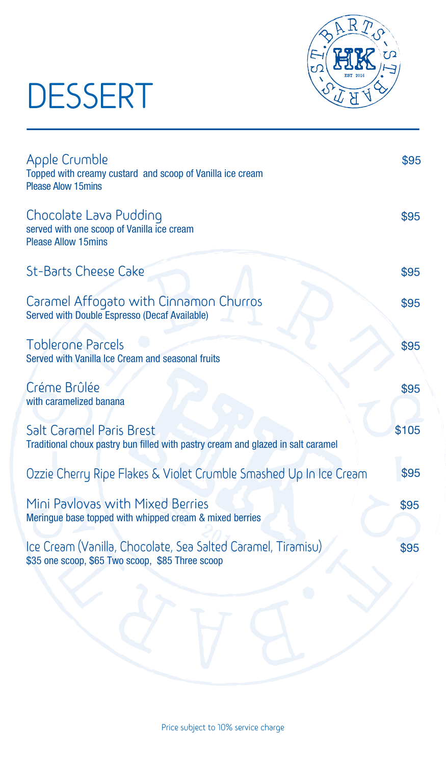## DESSERT



| Apple Crumble<br>Topped with creamy custard and scoop of Vanilla ice cream<br><b>Please Alow 15mins</b>          | \$95  |
|------------------------------------------------------------------------------------------------------------------|-------|
| Chocolate Lava Pudding<br>served with one scoop of Vanilla ice cream<br><b>Please Allow 15mins</b>               | \$95  |
| <b>St-Barts Cheese Cake</b>                                                                                      | \$95  |
| Caramel Affogato with Cinnamon Churros<br>Served with Double Espresso (Decaf Available)                          | \$95  |
| <b>Toblerone Parcels</b><br>Served with Vanilla Ice Cream and seasonal fruits                                    | \$95  |
| Créme Brûlée<br>with caramelized banana                                                                          | \$95  |
| Salt Caramel Paris Brest<br>Traditional choux pastry bun filled with pastry cream and glazed in salt caramel     | \$105 |
| Ozzie Cherry Ripe Flakes & Violet Crumble Smashed Up In Ice Cream                                                | \$95  |
| Mini Pavlovas with Mixed Berries<br>Meringue base topped with whipped cream & mixed berries                      | \$95  |
| Ice Cream (Vanilla, Chocolate, Sea Salted Caramel, Tiramisu)<br>\$35 one scoop, \$65 Two scoop, \$85 Three scoop | \$95  |